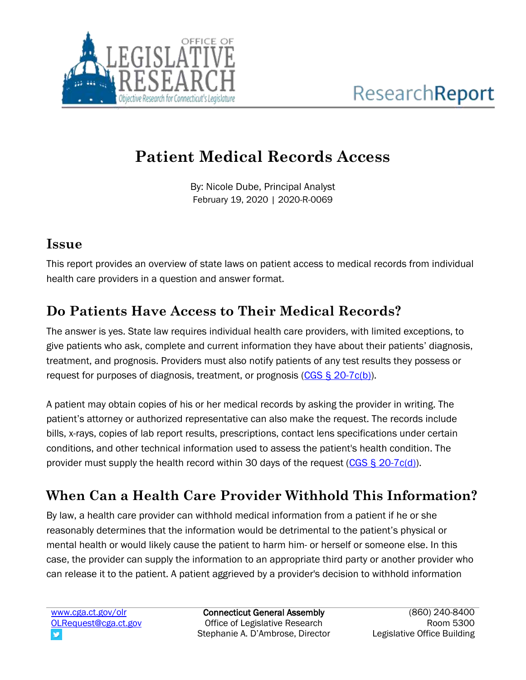

# **Patient Medical Records Access**

By: Nicole Dube, Principal Analyst February 19, 2020 | 2020-R-0069

#### **Issue**

This report provides an overview of state laws on patient access to medical records from individual health care providers in a question and answer format.

# **Do Patients Have Access to Their Medical Records?**

The answer is yes. State law requires individual health care providers, with limited exceptions, to give patients who ask, complete and current information they have about their patients' diagnosis, treatment, and prognosis. Providers must also notify patients of any test results they possess or request for purposes of diagnosis, treatment, or prognosis [\(CGS § 20-7c\(b\)\)](https://www.cga.ct.gov/current/pub/chap_369.htm#sec_20-7c).

A patient may obtain copies of his or her medical records by asking the provider in writing. The patient's attorney or authorized representative can also make the request. The records include bills, x-rays, copies of lab report results, prescriptions, contact lens specifications under certain conditions, and other technical information used to assess the patient's health condition. The provider must supply the health record within 30 days of the request  $(CGS \S 20-7c(d))$ .

# **When Can a Health Care Provider Withhold This Information?**

By law, a health care provider can withhold medical information from a patient if he or she reasonably determines that the information would be detrimental to the patient's physical or mental health or would likely cause the patient to harm him- or herself or someone else. In this case, the provider can supply the information to an appropriate third party or another provider who can release it to the patient. A patient aggrieved by a provider's decision to withhold information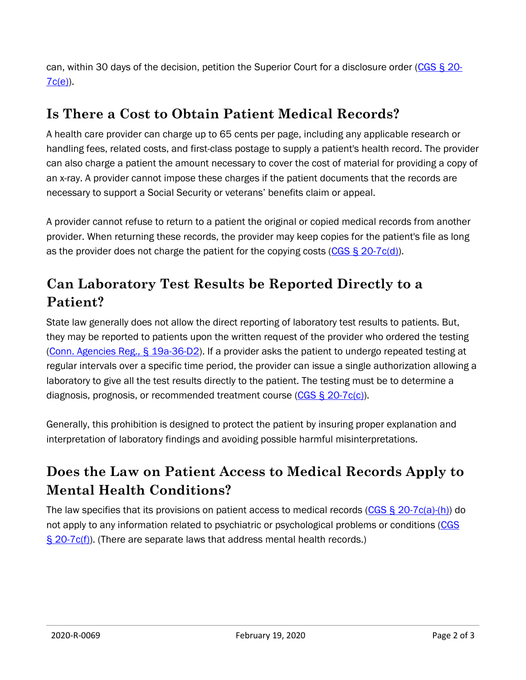can, within 30 days of the decision, petition the Superior Court for a disclosure order [\(CGS § 20-](https://www.cga.ct.gov/current/pub/chap_369.htm#sec_20-7c) [7c\(e\)\)](https://www.cga.ct.gov/current/pub/chap_369.htm#sec_20-7c).

#### **Is There a Cost to Obtain Patient Medical Records?**

A health care provider can charge up to 65 cents per page, including any applicable research or handling fees, related costs, and first-class postage to supply a patient's health record. The provider can also charge a patient the amount necessary to cover the cost of material for providing a copy of an x-ray. A provider cannot impose these charges if the patient documents that the records are necessary to support a Social Security or veterans' benefits claim or appeal.

A provider cannot refuse to return to a patient the original or copied medical records from another provider. When returning these records, the provider may keep copies for the patient's file as long as the provider does not charge the patient for the copying costs (CGS  $\S$  20-7c(d)).

### **Can Laboratory Test Results be Reported Directly to a Patient?**

State law generally does not allow the direct reporting of laboratory test results to patients. But, they may be reported to patients upon the written request of the provider who ordered the testing [\(Conn. Agencies Reg.,](https://eregulations.ct.gov/eRegsPortal/Browse/RCSA/Title_19aSubtitle_19a-36Section_19a-36-d32/) § 19a-36-D2). If a provider asks the patient to undergo repeated testing at regular intervals over a specific time period, the provider can issue a single authorization allowing a laboratory to give all the test results directly to the patient. The testing must be to determine a diagnosis, prognosis, or recommended treatment course  $(CGS \S 20-7c(c))$ .

Generally, this prohibition is designed to protect the patient by insuring proper explanation and interpretation of laboratory findings and avoiding possible harmful misinterpretations.

# **Does the Law on Patient Access to Medical Records Apply to Mental Health Conditions?**

The law specifies that its provisions on patient access to medical records (CGS  $\S 20$ -7c(a)-(h)) do not apply to any information related to psychiatric or psychological problems or conditions [\(CGS](https://www.cga.ct.gov/current/pub/chap_369.htm#sec_20-7c)  [§ 20-7c\(f\)\)](https://www.cga.ct.gov/current/pub/chap_369.htm#sec_20-7c). (There are separate laws that address mental health records.)